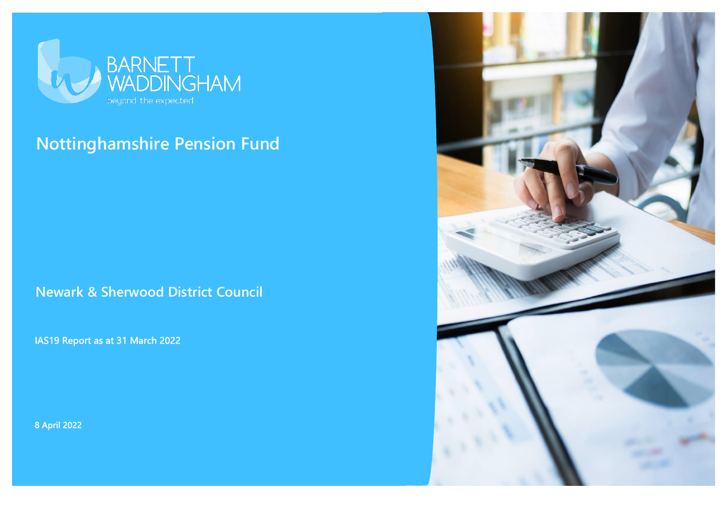

# **Nottinghamshire Pension Fund**

**Newark & Sherwood District Council**

IAS19 Report as at 31 March 2022

8 April 2022

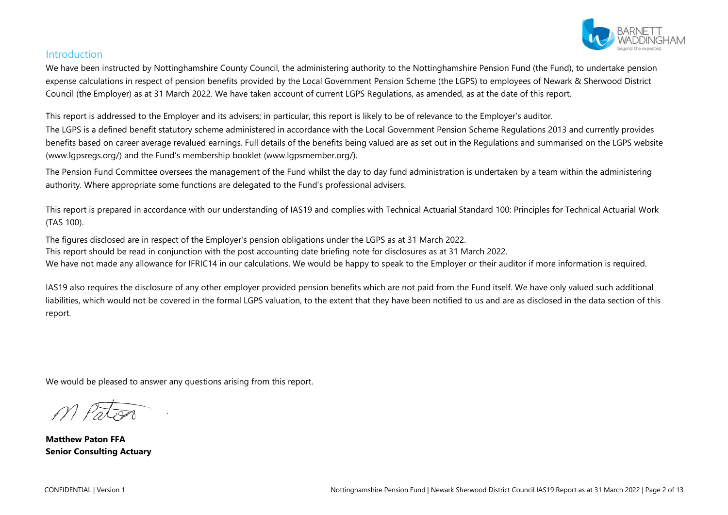

## Introduction

We have been instructed by Nottinghamshire County Council, the administering authority to the Nottinghamshire Pension Fund (the Fund), to undertake pension expense calculations in respect of pension benefits provided by the Local Government Pension Scheme (the LGPS) to employees of Newark & Sherwood District Council (the Employer) as at 31 March 2022. We have taken account of current LGPS Regulations, as amended, as at the date of this report.

This report is addressed to the Employer and its advisers; in particular, this report is likely to be of relevance to the Employer's auditor.

The LGPS is a defined benefit statutory scheme administered in accordance with the Local Government Pension Scheme Regulations 2013 and currently provides benefits based on career average revalued earnings. Full details of the benefits being valued are as set out in the Regulations and summarised on the LGPS website (www.lgpsregs.org/) and the Fund's membership booklet (www.lgpsmember.org/).

The Pension Fund Committee oversees the management of the Fund whilst the day to day fund administration is undertaken by a team within the administering authority. Where appropriate some functions are delegated to the Fund's professional advisers.

This report is prepared in accordance with our understanding of IAS19 and complies with Technical Actuarial Standard 100: Principles for Technical Actuarial Work (TAS 100).

The figures disclosed are in respect of the Employer's pension obligations under the LGPS as at 31 March 2022. This report should be read in conjunction with the post accounting date briefing note for disclosures as at 31 March 2022. We have not made any allowance for IFRIC14 in our calculations. We would be happy to speak to the Employer or their auditor if more information is required.

IAS19 also requires the disclosure of any other employer provided pension benefits which are not paid from the Fund itself. We have only valued such additional liabilities, which would not be covered in the formal LGPS valuation, to the extent that they have been notified to us and are as disclosed in the data section of this report.

We would be pleased to answer any questions arising from this report.

**Matthew Paton FFA Senior Consulting Actuary**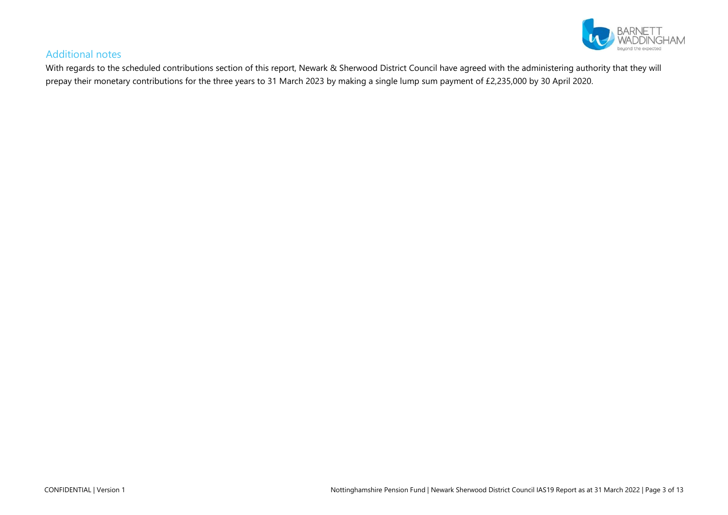

## Additional notes

With regards to the scheduled contributions section of this report, Newark & Sherwood District Council have agreed with the administering authority that they will prepay their monetary contributions for the three years to 31 March 2023 by making a single lump sum payment of £2,235,000 by 30 April 2020.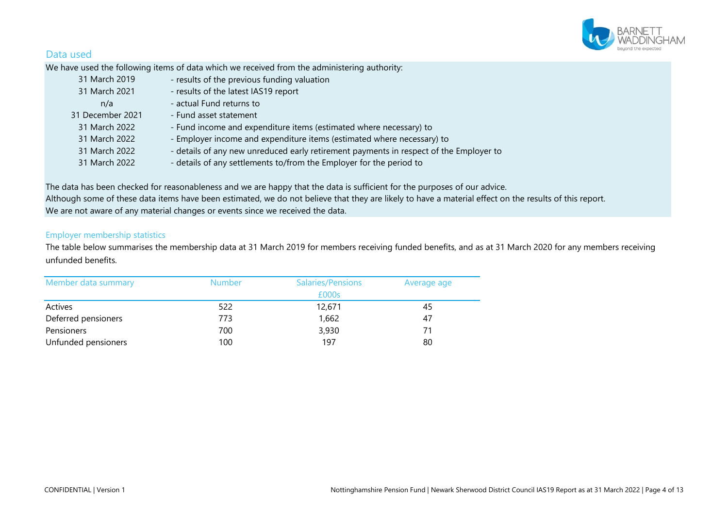

# Data used

We have used the following items of data which we received from the administering authority:

| 31 March 2019    | - results of the previous funding valuation                                            |
|------------------|----------------------------------------------------------------------------------------|
| 31 March 2021    | - results of the latest IAS19 report                                                   |
| n/a              | - actual Fund returns to                                                               |
| 31 December 2021 | - Fund asset statement                                                                 |
| 31 March 2022    | - Fund income and expenditure items (estimated where necessary) to                     |
| 31 March 2022    | - Employer income and expenditure items (estimated where necessary) to                 |
| 31 March 2022    | - details of any new unreduced early retirement payments in respect of the Employer to |
| 31 March 2022    | - details of any settlements to/from the Employer for the period to                    |

The data has been checked for reasonableness and we are happy that the data is sufficient for the purposes of our advice. Although some of these data items have been estimated, we do not believe that they are likely to have a material effect on the results of this report. We are not aware of any material changes or events since we received the data.

#### Employer membership statistics

The table below summarises the membership data at 31 March 2019 for members receiving funded benefits, and as at 31 March 2020 for any members receiving unfunded benefits.

| Member data summary | <b>Number</b><br>Salaries/Pensions |                 | Average age |
|---------------------|------------------------------------|-----------------|-------------|
| Actives             | 522                                | £000s<br>12,671 | 45          |
| Deferred pensioners | 773                                | 1,662           | 47          |
| Pensioners          | 700                                | 3,930           | 71          |
| Unfunded pensioners | 100                                | 197             | 80          |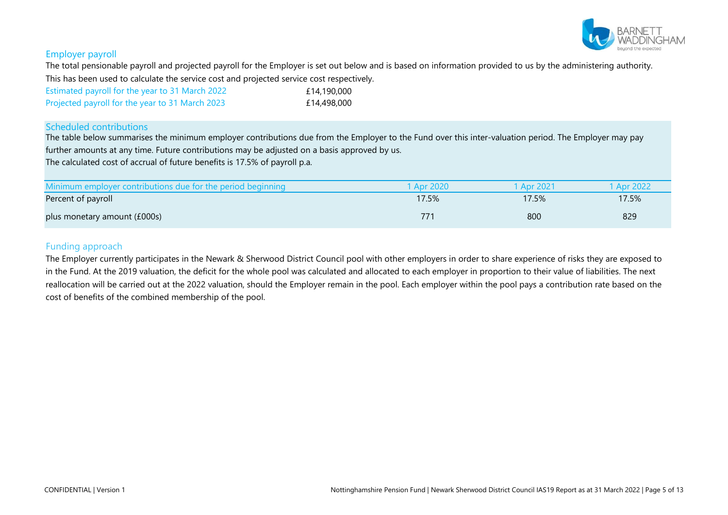

#### Employer payroll

The total pensionable payroll and projected payroll for the Employer is set out below and is based on information provided to us by the administering authority. This has been used to calculate the service cost and projected service cost respectively.

| Estimated payroll for the year to 31 March 2022 | £14,190,000 |
|-------------------------------------------------|-------------|
| Projected payroll for the year to 31 March 2023 | £14,498,000 |

#### Scheduled contributions

The table below summarises the minimum employer contributions due from the Employer to the Fund over this inter-valuation period. The Employer may pay further amounts at any time. Future contributions may be adjusted on a basis approved by us.

The calculated cost of accrual of future benefits is 17.5% of payroll p.a.

| Minimum employer contributions due for the period beginning | 1 Apr 2020 | 1 Apr 2021 | 1 Apr 2022 |
|-------------------------------------------------------------|------------|------------|------------|
| Percent of payroll                                          | 17.5%      | 17.5%      | 17.5%      |
| plus monetary amount (£000s)                                | 771        | 800        | 829        |

#### Funding approach

The Employer currently participates in the Newark & Sherwood District Council pool with other employers in order to share experience of risks they are exposed to in the Fund. At the 2019 valuation, the deficit for the whole pool was calculated and allocated to each employer in proportion to their value of liabilities. The next reallocation will be carried out at the 2022 valuation, should the Employer remain in the pool. Each employer within the pool pays a contribution rate based on the cost of benefits of the combined membership of the pool.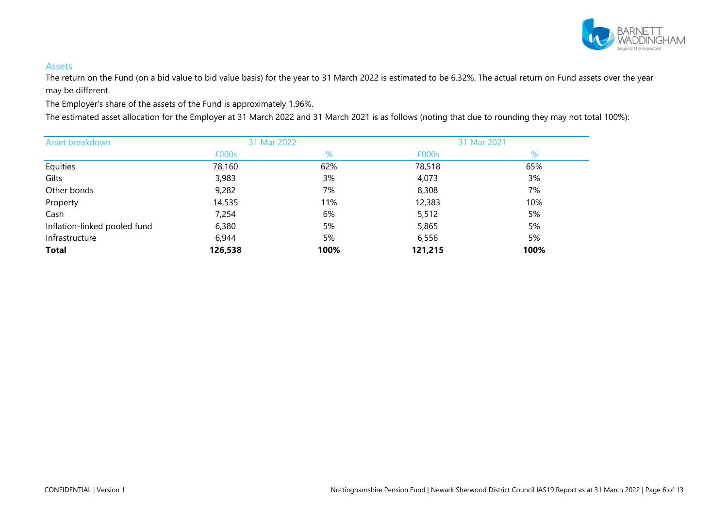

#### Assets

The return on the Fund (on a bid value to bid value basis) for the year to 31 March 2022 is estimated to be 6.32%. The actual return on Fund assets over the year may be different.

The Employer's share of the assets of the Fund is approximately 1.96%.

The estimated asset allocation for the Employer at 31 March 2022 and 31 March 2021 is as follows (noting that due to rounding they may not total 100%):

| Asset breakdown              | 31 Mar 2022 |      | 31 Mar 2021 |      |
|------------------------------|-------------|------|-------------|------|
|                              | £000s       | %    | £000s       | %    |
| Equities                     | 78,160      | 62%  | 78,518      | 65%  |
| Gilts                        | 3,983       | 3%   | 4,073       | 3%   |
| Other bonds                  | 9,282       | 7%   | 8,308       | 7%   |
| Property                     | 14,535      | 11%  | 12,383      | 10%  |
| Cash                         | 7,254       | 6%   | 5,512       | 5%   |
| Inflation-linked pooled fund | 6,380       | 5%   | 5,865       | 5%   |
| Infrastructure               | 6,944       | 5%   | 6,556       | 5%   |
| <b>Total</b>                 | 126,538     | 100% | 121,215     | 100% |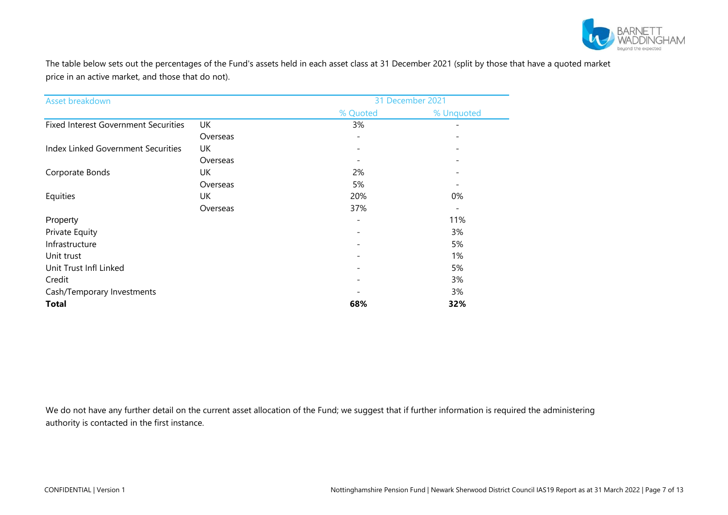

The table below sets out the percentages of the Fund's assets held in each asset class at 31 December 2021 (split by those that have a quoted market price in an active market, and those that do not).

| Asset breakdown                             |          |                              | 31 December 2021 |
|---------------------------------------------|----------|------------------------------|------------------|
|                                             |          | % Quoted                     | % Unquoted       |
| <b>Fixed Interest Government Securities</b> | UK       | 3%                           |                  |
|                                             | Overseas | $\overline{\phantom{a}}$     |                  |
| Index Linked Government Securities          | UK       | $\overline{\phantom{a}}$     |                  |
|                                             | Overseas |                              |                  |
| Corporate Bonds                             | UK       | 2%                           |                  |
|                                             | Overseas | 5%                           |                  |
| Equities                                    | UK       | 20%                          | 0%               |
|                                             | Overseas | 37%                          |                  |
| Property                                    |          | $\qquad \qquad -$            | 11%              |
| Private Equity                              |          | $\overline{\phantom{a}}$     | 3%               |
| Infrastructure                              |          | $\qquad \qquad \blacksquare$ | 5%               |
| Unit trust                                  |          | $\qquad \qquad -$            | 1%               |
| Unit Trust Infl Linked                      |          | $\qquad \qquad -$            | 5%               |
| Credit                                      |          | $\overline{\phantom{a}}$     | 3%               |
| Cash/Temporary Investments                  |          |                              | 3%               |
| <b>Total</b>                                |          | 68%                          | 32%              |

We do not have any further detail on the current asset allocation of the Fund; we suggest that if further information is required the administering authority is contacted in the first instance.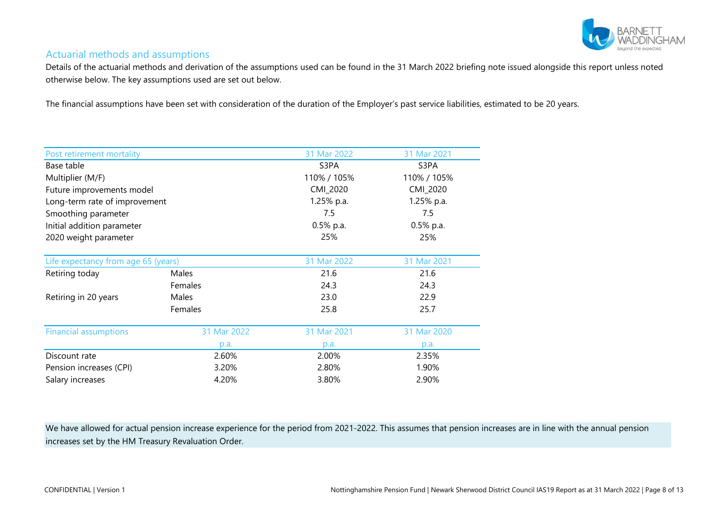

## Actuarial methods and assumptions

Details of the actuarial methods and derivation of the assumptions used can be found in the 31 March 2022 briefing note issued alongside this report unless noted otherwise below. The key assumptions used are set out below.

The financial assumptions have been set with consideration of the duration of the Employer's past service liabilities, estimated to be 20 years.

| Post retirement mortality           |             | 31 Mar 2022 | 31 Mar 2021  |
|-------------------------------------|-------------|-------------|--------------|
| Base table                          |             | S3PA        | S3PA         |
| Multiplier (M/F)                    |             | 110% / 105% | 110% / 105%  |
| Future improvements model           |             | CMI_2020    | CMI_2020     |
| Long-term rate of improvement       |             | 1.25% p.a.  | 1.25% p.a.   |
| Smoothing parameter                 |             | 7.5         | 7.5          |
| Initial addition parameter          |             | 0.5% p.a.   | $0.5\%$ p.a. |
| 2020 weight parameter               |             | 25%         | 25%          |
|                                     |             |             |              |
| Life expectancy from age 65 (years) |             | 31 Mar 2022 | 31 Mar 2021  |
| Retiring today                      | Males       | 21.6        | 21.6         |
|                                     | Females     | 24.3        | 24.3         |
| Retiring in 20 years                | Males       | 23.0        | 22.9         |
|                                     | Females     | 25.8        | 25.7         |
|                                     |             |             |              |
| <b>Financial assumptions</b>        | 31 Mar 2022 | 31 Mar 2021 | 31 Mar 2020  |
|                                     | p.a.        | p.a.        | p.a.         |
| Discount rate                       | 2.60%       | 2.00%       | 2.35%        |
| Pension increases (CPI)             | 3.20%       | 2.80%       | 1.90%        |
| Salary increases                    | 4.20%       | 3.80%       | 2.90%        |

We have allowed for actual pension increase experience for the period from 2021-2022. This assumes that pension increases are in line with the annual pension increases set by the HM Treasury Revaluation Order.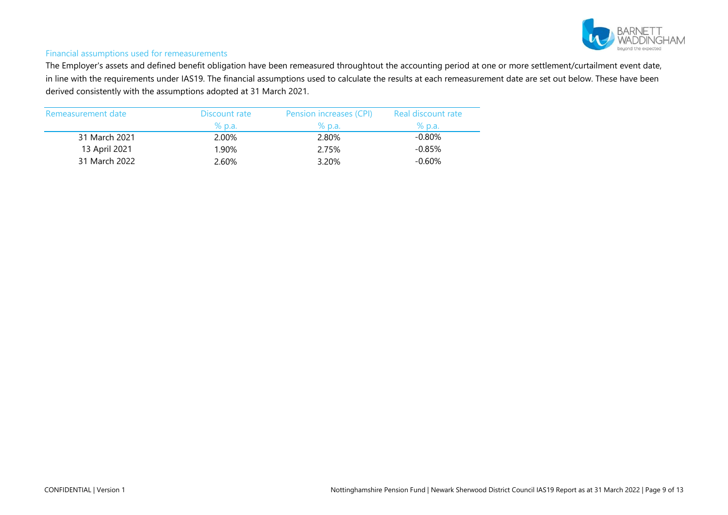

#### Financial assumptions used for remeasurements

The Employer's assets and defined benefit obligation have been remeasured throughtout the accounting period at one or more settlement/curtailment event date, in line with the requirements under IAS19. The financial assumptions used to calculate the results at each remeasurement date are set out below. These have been derived consistently with the assumptions adopted at 31 March 2021.

| Remeasurement date | Discount rate | Pension increases (CPI) | Real discount rate |
|--------------------|---------------|-------------------------|--------------------|
|                    | % p.a.        | % p.a.                  | % p.a.             |
| 31 March 2021      | 2.00%         | 2.80%                   | $-0.80\%$          |
| 13 April 2021      | 1.90%         | 2.75%                   | $-0.85%$           |
| 31 March 2022      | 2.60%         | 3.20%                   | $-0.60\%$          |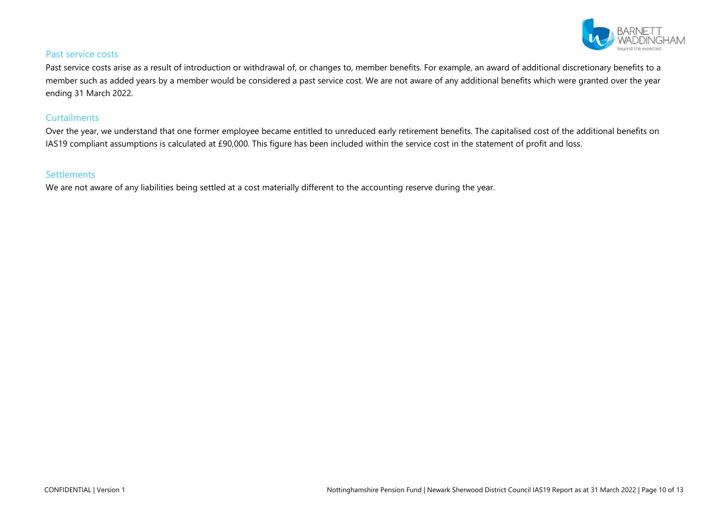

#### Past service costs

Past service costs arise as a result of introduction or withdrawal of, or changes to, member benefits. For example, an award of additional discretionary benefits to a member such as added years by a member would be considered a past service cost. We are not aware of any additional benefits which were granted over the year ending 31 March 2022.

#### **Curtailments**

Over the year, we understand that one former employee became entitled to unreduced early retirement benefits. The capitalised cost of the additional benefits on IAS19 compliant assumptions is calculated at £90,000. This figure has been included within the service cost in the statement of profit and loss.

## **Settlements**

We are not aware of any liabilities being settled at a cost materially different to the accounting reserve during the year.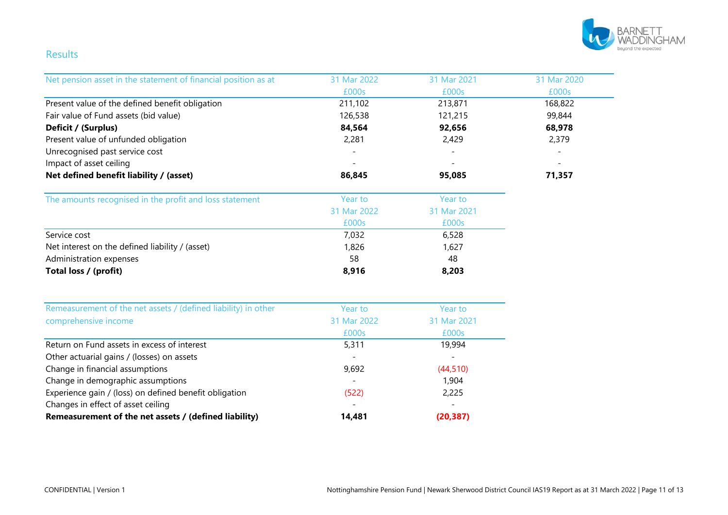

# Results

| Net pension asset in the statement of financial position as at | 31 Mar 2022 | 31 Mar 2021 | 31 Mar 2020 |
|----------------------------------------------------------------|-------------|-------------|-------------|
|                                                                | £000s       | £000s       | £000s       |
| Present value of the defined benefit obligation                | 211,102     | 213,871     | 168,822     |
| Fair value of Fund assets (bid value)                          | 126,538     | 121,215     | 99,844      |
| Deficit / (Surplus)                                            | 84,564      | 92,656      | 68,978      |
| Present value of unfunded obligation                           | 2,281       | 2,429       | 2,379       |
| Unrecognised past service cost                                 |             |             |             |
| Impact of asset ceiling                                        |             |             |             |
| Net defined benefit liability / (asset)                        | 86,845      | 95,085      | 71,357      |
| The amounts recognised in the profit and loss statement        | Year to     | Year to     |             |
|                                                                | 31 Mar 2022 | 31 Mar 2021 |             |
|                                                                | £000s       | £000s       |             |
| Service cost                                                   | 7,032       | 6,528       |             |
| Net interest on the defined liability / (asset)                | 1,826       | 1,627       |             |
| Administration expenses                                        | 58          | 48          |             |
| Total loss / (profit)                                          | 8,916       | 8,203       |             |
| Remeasurement of the net assets / (defined liability) in other | Year to     | Year to     |             |
| comprehensive income                                           | 31 Mar 2022 | 31 Mar 2021 |             |
|                                                                | £000s       | £000s       |             |
| Return on Fund assets in excess of interest                    | 5,311       | 19,994      |             |
| Other actuarial gains / (losses) on assets                     |             |             |             |
| Change in financial assumptions                                | 9,692       | (44, 510)   |             |
| Change in demographic assumptions                              |             | 1,904       |             |
| Experience gain / (loss) on defined benefit obligation         | (522)       | 2,225       |             |
| Changes in effect of asset ceiling                             |             |             |             |
| Remeasurement of the net assets / (defined liability)          | 14,481      | (20, 387)   |             |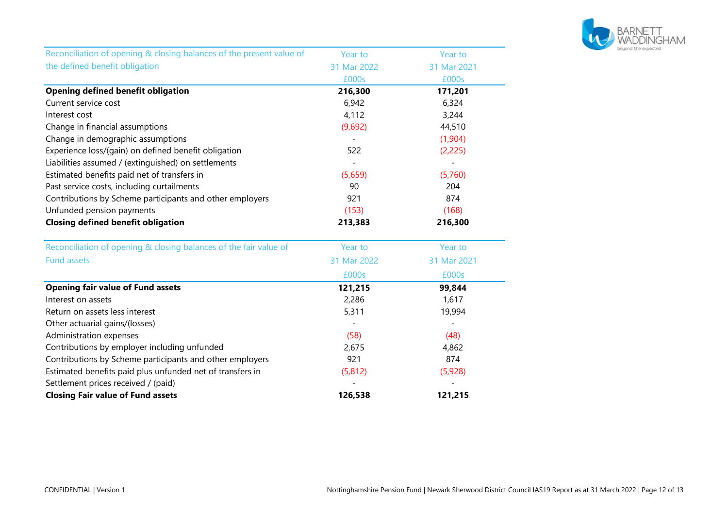

| Reconciliation of opening & closing balances of the present value of | Year to     | Year to     |
|----------------------------------------------------------------------|-------------|-------------|
| the defined benefit obligation                                       | 31 Mar 2022 | 31 Mar 2021 |
|                                                                      | £000s       | £000s       |
| <b>Opening defined benefit obligation</b>                            | 216,300     | 171,201     |
| Current service cost                                                 | 6,942       | 6,324       |
| Interest cost                                                        | 4,112       | 3,244       |
| Change in financial assumptions                                      | (9,692)     | 44,510      |
| Change in demographic assumptions                                    |             | (1,904)     |
| Experience loss/(gain) on defined benefit obligation                 | 522         | (2, 225)    |
| Liabilities assumed / (extinguished) on settlements                  |             |             |
| Estimated benefits paid net of transfers in                          | (5,659)     | (5,760)     |
| Past service costs, including curtailments                           | 90          | 204         |
| Contributions by Scheme participants and other employers             | 921         | 874         |
| Unfunded pension payments                                            | (153)       | (168)       |
| <b>Closing defined benefit obligation</b>                            | 213,383     | 216,300     |
| Reconciliation of opening & closing balances of the fair value of    | Year to     | Year to     |
| <b>Fund assets</b>                                                   | 31 Mar 2022 | 31 Mar 2021 |
|                                                                      | £000s       | £000s       |
| <b>Opening fair value of Fund assets</b>                             | 121,215     | 99,844      |
| Interest on assets                                                   | 2,286       | 1,617       |
| Return on assets less interest                                       | 5,311       | 19,994      |
| Other actuarial gains/(losses)                                       |             |             |
| Administration expenses                                              | (58)        | (48)        |
| Contributions by employer including unfunded                         | 2,675       | 4,862       |
| Contributions by Scheme participants and other employers             | 921         | 874         |
| Estimated benefits paid plus unfunded net of transfers in            | (5, 812)    | (5,928)     |
| Settlement prices received / (paid)                                  |             |             |
| <b>Closing Fair value of Fund assets</b>                             | 126,538     | 121,215     |